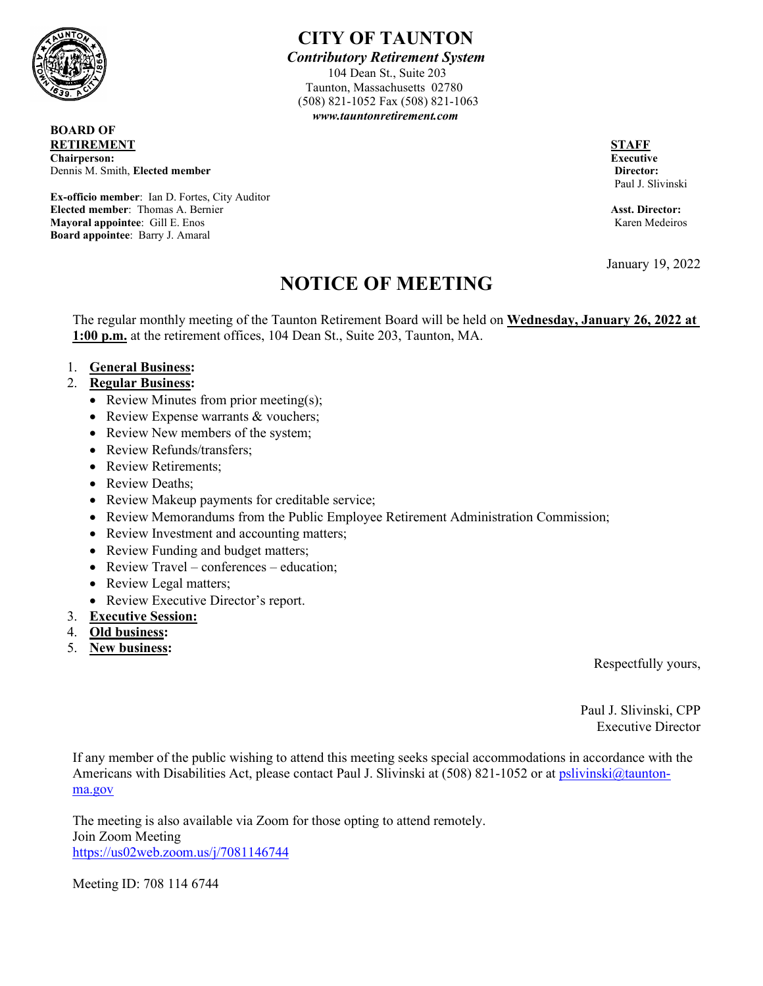

**CITY OF TAUNTON**

 *Contributory Retirement System* 104 Dean St., Suite 203 Taunton, Massachusetts 02780 (508) 821-1052 Fax (508) 821-1063 *www.tauntonretirement.com*

**BOARD OF RETIREMENT**<br> **Chairperson:**<br> **STAFF**<br> **Chairperson: Chairperson: Executive** Dennis M. Smith, **Elected member Director:**

**Ex-officio member**: Ian D. Fortes, City Auditor **Elected member:** Thomas A. Bernier **Asst. Director: Asst. Director: Mayoral appointee:** Gill E. Enos Karen Medeiros Karen Medeiros Karen Medeiros Karen Medeiros Karen Medeiros Karen Medeiros Karen Medeiros Karen Medeiros Karen Medeiros Karen Medeiros **Karen Medeiros Karen Medeiros** Karen **Board appointee**: Barry J. Amaral

Paul J. Slivinski

January 19, 2022

# **NOTICE OF MEETING**

The regular monthly meeting of the Taunton Retirement Board will be held on **Wednesday, January 26, 2022 at 1:00 p.m.** at the retirement offices, 104 Dean St., Suite 203, Taunton, MA.

# 1. **General Business:**

# 2. **Regular Business:**

- Review Minutes from prior meeting(s);
- Review Expense warrants & vouchers;
- Review New members of the system;
- Review Refunds/transfers;
- Review Retirements;
- Review Deaths;
- Review Makeup payments for creditable service;
- Review Memorandums from the Public Employee Retirement Administration Commission;
- Review Investment and accounting matters;
- Review Funding and budget matters;
- Review Travel conferences education;
- Review Legal matters;
- Review Executive Director's report.
- 3. **Executive Session:**
- 4. **Old business:**
- 5. **New business:**

Respectfully yours,

Paul J. Slivinski, CPP Executive Director

If any member of the public wishing to attend this meeting seeks special accommodations in accordance with the Americans with Disabilities Act, please contact Paul J. Slivinski at (508) 821-1052 or at [pslivinski@taunton](mailto:pslivinski@taunton-ma.gov)[ma.gov](mailto:pslivinski@taunton-ma.gov) 

The meeting is also available via Zoom for those opting to attend remotely. Join Zoom Meeting <https://us02web.zoom.us/j/7081146744>

Meeting ID: 708 114 6744